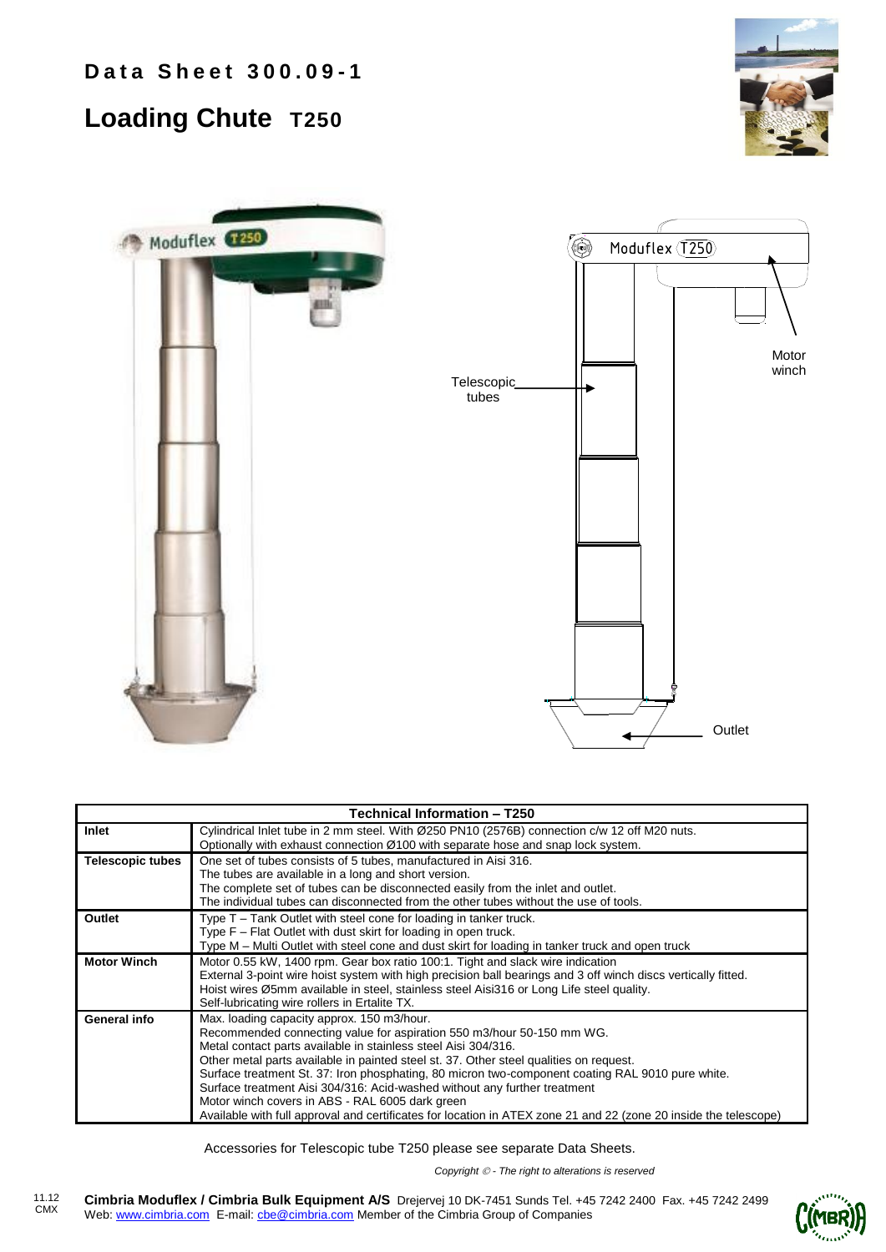**Data Sheet 300.09-1** 

## **Loading Chute T250**





| Technical Information - T250 |                                                                                                                                                                                                                                                                                                                                                                                                                                                                                                                                                                                                                                         |  |  |  |  |  |  |
|------------------------------|-----------------------------------------------------------------------------------------------------------------------------------------------------------------------------------------------------------------------------------------------------------------------------------------------------------------------------------------------------------------------------------------------------------------------------------------------------------------------------------------------------------------------------------------------------------------------------------------------------------------------------------------|--|--|--|--|--|--|
| Inlet                        | Cylindrical Inlet tube in 2 mm steel. With Ø250 PN10 (2576B) connection c/w 12 off M20 nuts.<br>Optionally with exhaust connection Ø100 with separate hose and snap lock system.                                                                                                                                                                                                                                                                                                                                                                                                                                                        |  |  |  |  |  |  |
| <b>Telescopic tubes</b>      | One set of tubes consists of 5 tubes, manufactured in Aisi 316.<br>The tubes are available in a long and short version.<br>The complete set of tubes can be disconnected easily from the inlet and outlet.<br>The individual tubes can disconnected from the other tubes without the use of tools.                                                                                                                                                                                                                                                                                                                                      |  |  |  |  |  |  |
| Outlet                       | Type T – Tank Outlet with steel cone for loading in tanker truck.<br>Type F - Flat Outlet with dust skirt for loading in open truck.<br>Type M – Multi Outlet with steel cone and dust skirt for loading in tanker truck and open truck                                                                                                                                                                                                                                                                                                                                                                                                 |  |  |  |  |  |  |
| <b>Motor Winch</b>           | Motor 0.55 kW, 1400 rpm. Gear box ratio 100:1. Tight and slack wire indication<br>External 3-point wire hoist system with high precision ball bearings and 3 off winch discs vertically fitted.<br>Hoist wires Ø5mm available in steel, stainless steel Aisi316 or Long Life steel quality.<br>Self-lubricating wire rollers in Ertalite TX.                                                                                                                                                                                                                                                                                            |  |  |  |  |  |  |
| General info                 | Max. loading capacity approx. 150 m3/hour.<br>Recommended connecting value for aspiration 550 m3/hour 50-150 mm WG.<br>Metal contact parts available in stainless steel Aisi 304/316.<br>Other metal parts available in painted steel st. 37. Other steel qualities on request.<br>Surface treatment St. 37: Iron phosphating, 80 micron two-component coating RAL 9010 pure white.<br>Surface treatment Aisi 304/316: Acid-washed without any further treatment<br>Motor winch covers in ABS - RAL 6005 dark green<br>Available with full approval and certificates for location in ATEX zone 21 and 22 (zone 20 inside the telescope) |  |  |  |  |  |  |

Accessories for Telescopic tube T250 please see separate Data Sheets.

*Copyright - The right to alterations is reserved*